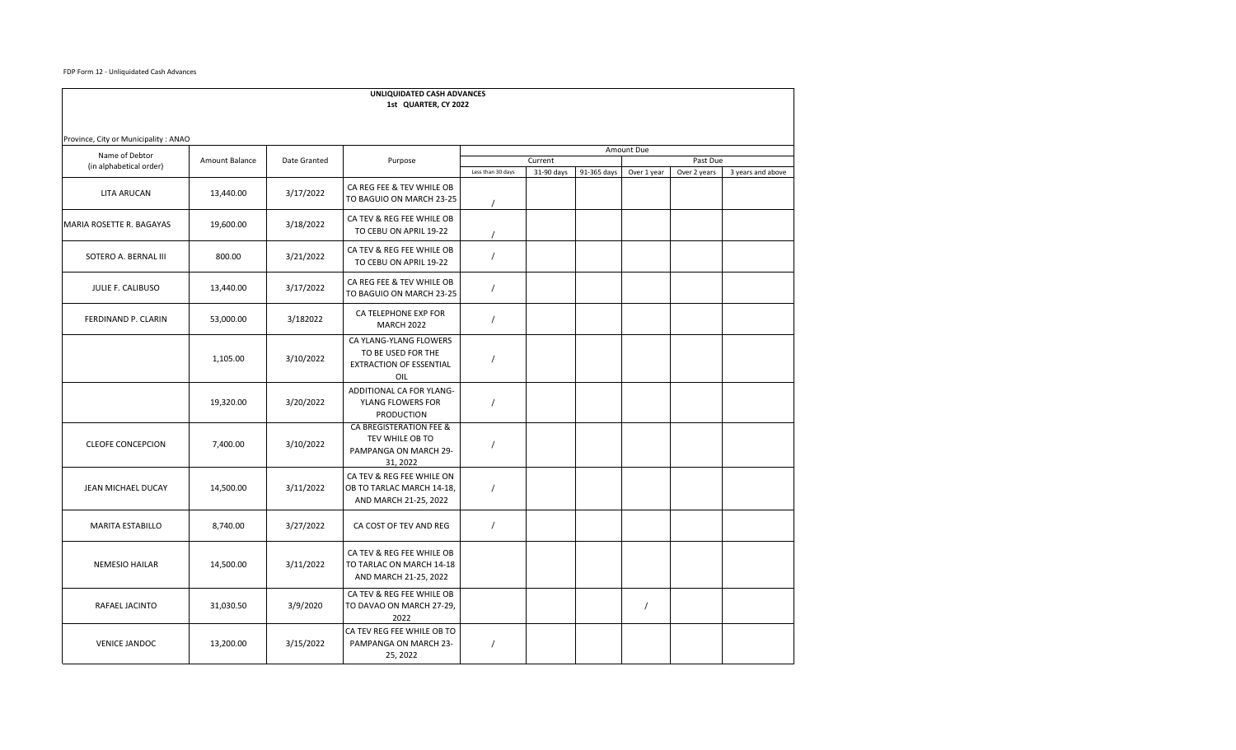FDP Form 12 - Unliquidated Cash Advances

| UNLIQUIDATED CASH ADVANCES<br>1st QUARTER, CY 2022 |                |              |                                                                                 |                   |                       |             |             |                          |                   |  |
|----------------------------------------------------|----------------|--------------|---------------------------------------------------------------------------------|-------------------|-----------------------|-------------|-------------|--------------------------|-------------------|--|
| Province, City or Municipality : ANAO              |                |              |                                                                                 |                   |                       |             |             |                          |                   |  |
| Name of Debtor<br>(in alphabetical order)          | Amount Balance | Date Granted | Purpose                                                                         | Amount Due        |                       |             |             |                          |                   |  |
|                                                    |                |              |                                                                                 | Less than 30 days | Current<br>31-90 days | 91-365 days | Over 1 year | Past Due<br>Over 2 years | 3 years and above |  |
| <b>LITA ARUCAN</b>                                 | 13,440.00      | 3/17/2022    | CA REG FEE & TEV WHILE OB<br>TO BAGUIO ON MARCH 23-25                           |                   |                       |             |             |                          |                   |  |
| <b>MARIA ROSETTE R. BAGAYAS</b>                    | 19,600.00      | 3/18/2022    | CA TEV & REG FEE WHILE OB<br>TO CEBU ON APRIL 19-22                             |                   |                       |             |             |                          |                   |  |
| SOTERO A. BERNAL III                               | 800.00         | 3/21/2022    | CA TEV & REG FEE WHILE OB<br>TO CEBU ON APRIL 19-22                             | $\sqrt{2}$        |                       |             |             |                          |                   |  |
| JULIE F. CALIBUSO                                  | 13,440.00      | 3/17/2022    | CA REG FEE & TEV WHILE OB<br>TO BAGUIO ON MARCH 23-25                           | $\prime$          |                       |             |             |                          |                   |  |
| FERDINAND P. CLARIN                                | 53,000.00      | 3/182022     | CA TELEPHONE EXP FOR<br><b>MARCH 2022</b>                                       | $\sqrt{2}$        |                       |             |             |                          |                   |  |
|                                                    | 1,105.00       | 3/10/2022    | CA YLANG-YLANG FLOWERS<br>TO BE USED FOR THE<br>EXTRACTION OF ESSENTIAL<br>OIL  | $\prime$          |                       |             |             |                          |                   |  |
|                                                    | 19,320.00      | 3/20/2022    | ADDITIONAL CA FOR YLANG-<br>YLANG FLOWERS FOR<br><b>PRODUCTION</b>              | $\sqrt{2}$        |                       |             |             |                          |                   |  |
| <b>CLEOFE CONCEPCION</b>                           | 7,400.00       | 3/10/2022    | CA BREGISTERATION FEE &<br>TEV WHILE OB TO<br>PAMPANGA ON MARCH 29-<br>31, 2022 | $\prime$          |                       |             |             |                          |                   |  |
| JEAN MICHAEL DUCAY                                 | 14,500.00      | 3/11/2022    | CA TEV & REG FEE WHILE ON<br>OB TO TARLAC MARCH 14-18,<br>AND MARCH 21-25, 2022 | $\sqrt{2}$        |                       |             |             |                          |                   |  |
| <b>MARITA ESTABILLO</b>                            | 8,740.00       | 3/27/2022    | CA COST OF TEV AND REG                                                          | $\sqrt{2}$        |                       |             |             |                          |                   |  |
| <b>NEMESIO HAILAR</b>                              | 14,500.00      | 3/11/2022    | CA TEV & REG FEE WHILE OB<br>TO TARLAC ON MARCH 14-18<br>AND MARCH 21-25, 2022  |                   |                       |             |             |                          |                   |  |
| RAFAEL JACINTO                                     | 31,030.50      | 3/9/2020     | CA TEV & REG FEE WHILE OB<br>TO DAVAO ON MARCH 27-29,<br>2022                   |                   |                       |             | $\prime$    |                          |                   |  |
| <b>VENICE JANDOC</b>                               | 13,200.00      | 3/15/2022    | CA TEV REG FEE WHILE OB TO<br>PAMPANGA ON MARCH 23-<br>25, 2022                 | $\prime$          |                       |             |             |                          |                   |  |